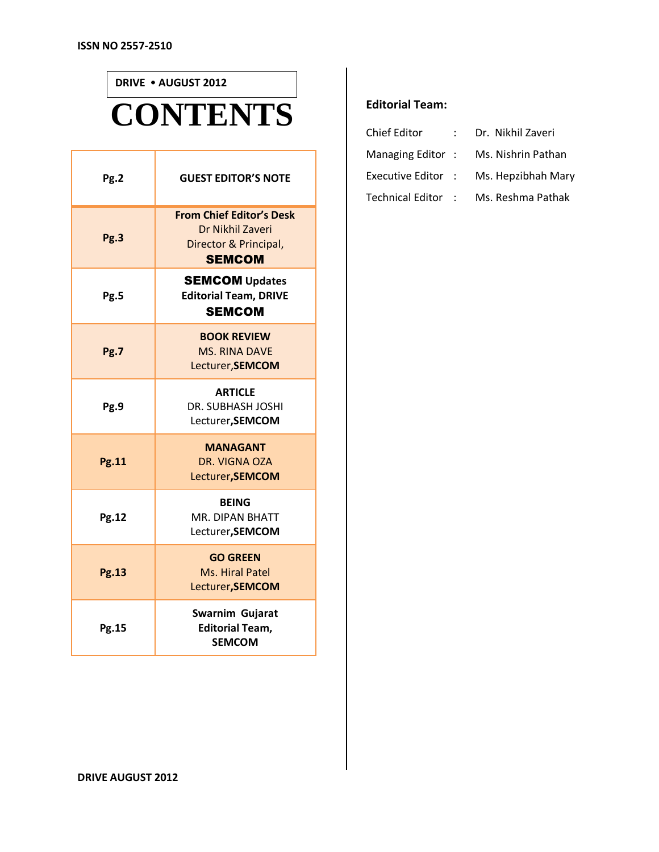Т

ľ

## **CONTENTS DRIVE AUGUST 2012**

| Pg.2         | <b>GUEST EDITOR'S NOTE</b>                                                                    |
|--------------|-----------------------------------------------------------------------------------------------|
| Pg.3         | <b>From Chief Editor's Desk</b><br>Dr Nikhil Zaveri<br>Director & Principal,<br><b>SEMCOM</b> |
| Pg.5         | <b>SEMCOM Updates</b><br><b>Editorial Team, DRIVE</b><br><b>SEMCOM</b>                        |
| Pg.7         | <b>BOOK REVIEW</b><br><b>MS. RINA DAVE</b><br>Lecturer, SEMCOM                                |
| Pg.9         | <b>ARTICLE</b><br><b>DR. SUBHASH JOSHI</b><br>Lecturer, SEMCOM                                |
| <b>Pg.11</b> | <b>MANAGANT</b><br>DR. VIGNA OZA<br>Lecturer, SEMCOM                                          |
| Pg.12        | <b>BEING</b><br><b>MR. DIPAN BHATT</b><br>Lecturer, SEMCOM                                    |
| <b>Pg.13</b> | <b>GO GREEN</b><br>Ms. Hiral Patel<br>Lecturer, SEMCOM                                        |
| Pg.15        | Swarnim Gujarat<br><b>Editorial Team,</b><br><b>SEMCOM</b>                                    |

#### **Editorial Team:**

| <b>Chief Editor</b> | Dr. Nikhil Zaveri  |
|---------------------|--------------------|
| Managing Editor:    | Ms. Nishrin Pathan |
| Executive Editor :  | Ms. Hepzibhah Mary |
| Technical Editor :  | Ms. Reshma Pathak  |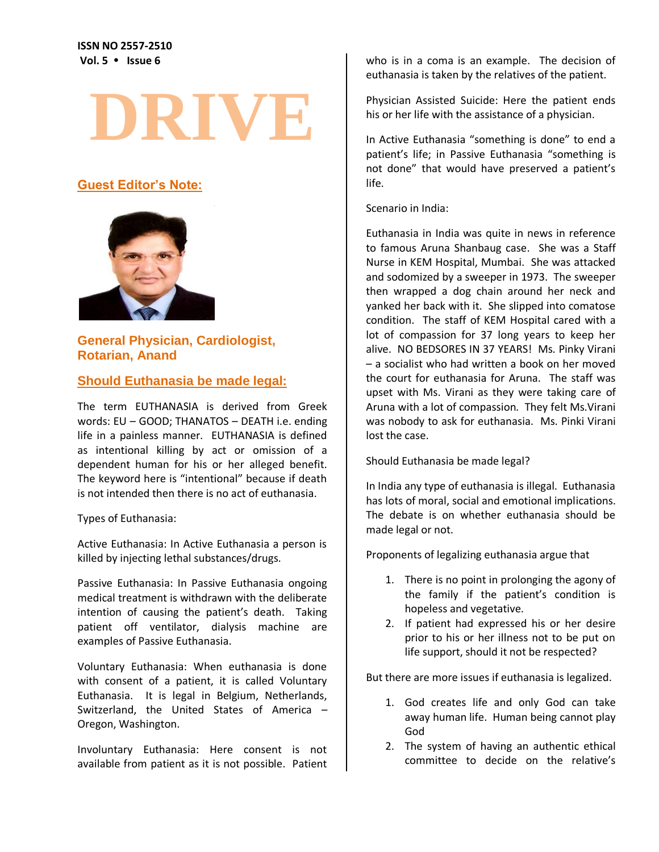**ISSN NO 2557-2510 Vol. 5 Issue 6**

# **DRIVE**

## **Guest Editor's Note:**



## **General Physician, Cardiologist, Rotarian, Anand**

#### **Should Euthanasia be made legal:**

The term EUTHANASIA is derived from Greek words: EU – GOOD; THANATOS – DEATH i.e. ending life in a painless manner. EUTHANASIA is defined as intentional killing by act or omission of a dependent human for his or her alleged benefit. The keyword here is "intentional" because if death is not intended then there is no act of euthanasia.

Types of Euthanasia:

Active Euthanasia: In Active Euthanasia a person is killed by injecting lethal substances/drugs.

Passive Euthanasia: In Passive Euthanasia ongoing medical treatment is withdrawn with the deliberate intention of causing the patient's death. Taking patient off ventilator, dialysis machine are examples of Passive Euthanasia.

Voluntary Euthanasia: When euthanasia is done with consent of a patient, it is called Voluntary Euthanasia. It is legal in Belgium, Netherlands, Switzerland, the United States of America – Oregon, Washington.

Involuntary Euthanasia: Here consent is not available from patient as it is not possible. Patient who is in a coma is an example. The decision of euthanasia is taken by the relatives of the patient.

Physician Assisted Suicide: Here the patient ends his or her life with the assistance of a physician.

In Active Euthanasia "something is done" to end a patient's life; in Passive Euthanasia "something is not done" that would have preserved a patient's life.

Scenario in India:

Euthanasia in India was quite in news in reference to famous Aruna Shanbaug case. She was a Staff Nurse in KEM Hospital, Mumbai. She was attacked and sodomized by a sweeper in 1973. The sweeper then wrapped a dog chain around her neck and yanked her back with it. She slipped into comatose condition. The staff of KEM Hospital cared with a lot of compassion for 37 long years to keep her alive. NO BEDSORES IN 37 YEARS! Ms. Pinky Virani – a socialist who had written a book on her moved the court for euthanasia for Aruna. The staff was upset with Ms. Virani as they were taking care of Aruna with a lot of compassion. They felt Ms.Virani was nobody to ask for euthanasia. Ms. Pinki Virani lost the case.

Should Euthanasia be made legal?

In India any type of euthanasia is illegal. Euthanasia has lots of moral, social and emotional implications. The debate is on whether euthanasia should be made legal or not.

Proponents of legalizing euthanasia argue that

- 1. There is no point in prolonging the agony of the family if the patient's condition is hopeless and vegetative.
- 2. If patient had expressed his or her desire prior to his or her illness not to be put on life support, should it not be respected?

But there are more issues if euthanasia is legalized.

- 1. God creates life and only God can take away human life. Human being cannot play God
- 2. The system of having an authentic ethical committee to decide on the relative's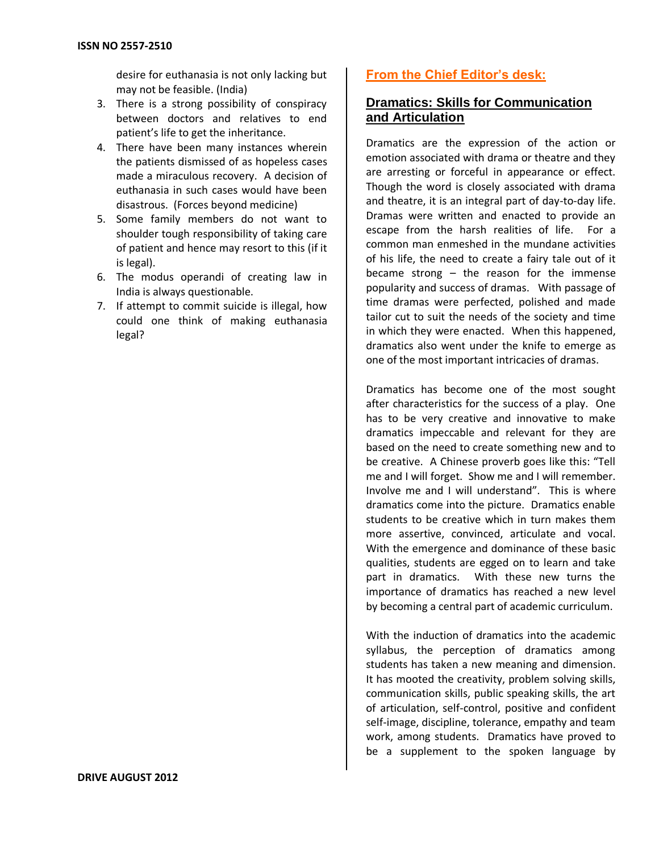desire for euthanasia is not only lacking but may not be feasible. (India)

- 3. There is a strong possibility of conspiracy between doctors and relatives to end patient's life to get the inheritance.
- 4. There have been many instances wherein the patients dismissed of as hopeless cases made a miraculous recovery. A decision of euthanasia in such cases would have been disastrous. (Forces beyond medicine)
- 5. Some family members do not want to shoulder tough responsibility of taking care of patient and hence may resort to this (if it is legal).
- 6. The modus operandi of creating law in India is always questionable.
- 7. If attempt to commit suicide is illegal, how could one think of making euthanasia legal?

## **From the Chief Editor's desk:**

## **Dramatics: Skills for Communication and Articulation**

Dramatics are the expression of the action or emotion associated with drama or theatre and they are arresting or forceful in appearance or effect. Though the word is closely associated with drama and theatre, it is an integral part of day-to-day life. Dramas were written and enacted to provide an escape from the harsh realities of life. For a common man enmeshed in the mundane activities of his life, the need to create a fairy tale out of it became strong – the reason for the immense popularity and success of dramas. With passage of time dramas were perfected, polished and made tailor cut to suit the needs of the society and time in which they were enacted. When this happened, dramatics also went under the knife to emerge as one of the most important intricacies of dramas.

Dramatics has become one of the most sought after characteristics for the success of a play. One has to be very creative and innovative to make dramatics impeccable and relevant for they are based on the need to create something new and to be creative. A Chinese proverb goes like this: "Tell me and I will forget. Show me and I will remember. Involve me and I will understand". This is where dramatics come into the picture. Dramatics enable students to be creative which in turn makes them more assertive, convinced, articulate and vocal. With the emergence and dominance of these basic qualities, students are egged on to learn and take part in dramatics. With these new turns the importance of dramatics has reached a new level by becoming a central part of academic curriculum.

With the induction of dramatics into the academic syllabus, the perception of dramatics among students has taken a new meaning and dimension. It has mooted the creativity, problem solving skills, communication skills, public speaking skills, the art of articulation, self-control, positive and confident self-image, discipline, tolerance, empathy and team work, among students. Dramatics have proved to be a supplement to the spoken language by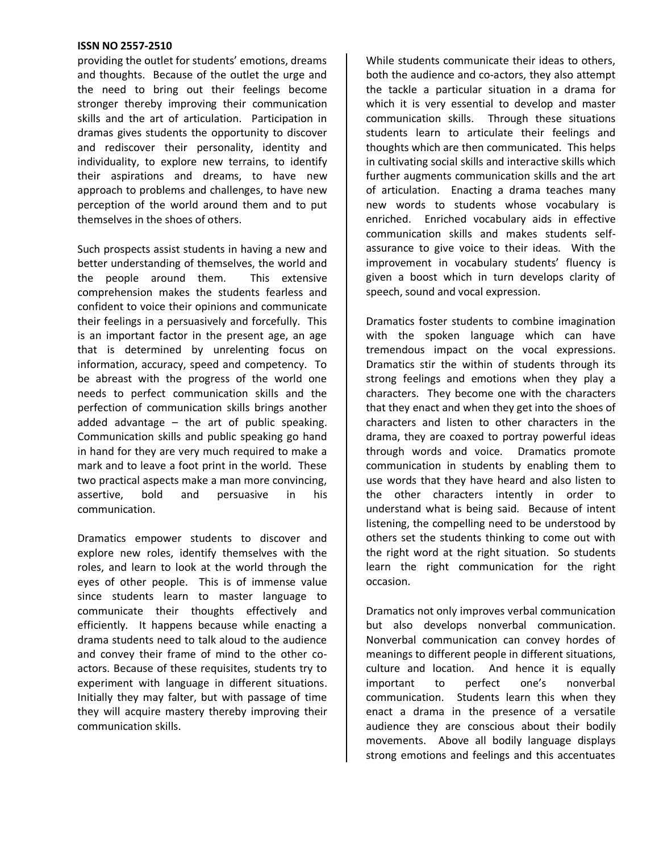providing the outlet for students' emotions, dreams and thoughts. Because of the outlet the urge and the need to bring out their feelings become stronger thereby improving their communication skills and the art of articulation. Participation in dramas gives students the opportunity to discover and rediscover their personality, identity and individuality, to explore new terrains, to identify their aspirations and dreams, to have new approach to problems and challenges, to have new perception of the world around them and to put themselves in the shoes of others.

Such prospects assist students in having a new and better understanding of themselves, the world and the people around them. This extensive comprehension makes the students fearless and confident to voice their opinions and communicate their feelings in a persuasively and forcefully. This is an important factor in the present age, an age that is determined by unrelenting focus on information, accuracy, speed and competency. To be abreast with the progress of the world one needs to perfect communication skills and the perfection of communication skills brings another added advantage  $-$  the art of public speaking. Communication skills and public speaking go hand in hand for they are very much required to make a mark and to leave a foot print in the world. These two practical aspects make a man more convincing, assertive, bold and persuasive in his communication.

Dramatics empower students to discover and explore new roles, identify themselves with the roles, and learn to look at the world through the eyes of other people. This is of immense value since students learn to master language to communicate their thoughts effectively and efficiently. It happens because while enacting a drama students need to talk aloud to the audience and convey their frame of mind to the other coactors. Because of these requisites, students try to experiment with language in different situations. Initially they may falter, but with passage of time they will acquire mastery thereby improving their communication skills.

While students communicate their ideas to others, both the audience and co-actors, they also attempt the tackle a particular situation in a drama for which it is very essential to develop and master communication skills. Through these situations students learn to articulate their feelings and thoughts which are then communicated. This helps in cultivating social skills and interactive skills which further augments communication skills and the art of articulation. Enacting a drama teaches many new words to students whose vocabulary is enriched. Enriched vocabulary aids in effective communication skills and makes students selfassurance to give voice to their ideas. With the improvement in vocabulary students' fluency is given a boost which in turn develops clarity of speech, sound and vocal expression.

Dramatics foster students to combine imagination with the spoken language which can have tremendous impact on the vocal expressions. Dramatics stir the within of students through its strong feelings and emotions when they play a characters. They become one with the characters that they enact and when they get into the shoes of characters and listen to other characters in the drama, they are coaxed to portray powerful ideas through words and voice. Dramatics promote communication in students by enabling them to use words that they have heard and also listen to the other characters intently in order to understand what is being said. Because of intent listening, the compelling need to be understood by others set the students thinking to come out with the right word at the right situation. So students learn the right communication for the right occasion.

Dramatics not only improves verbal communication but also develops nonverbal communication. Nonverbal communication can convey hordes of meanings to different people in different situations, culture and location. And hence it is equally important to perfect one's nonverbal communication. Students learn this when they enact a drama in the presence of a versatile audience they are conscious about their bodily movements. Above all bodily language displays strong emotions and feelings and this accentuates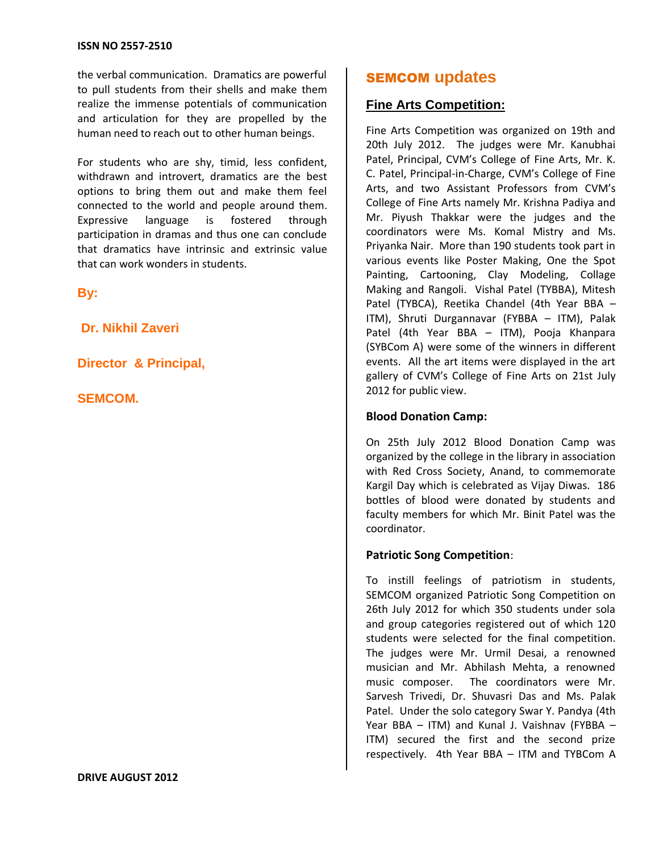the verbal communication. Dramatics are powerful to pull students from their shells and make them realize the immense potentials of communication and articulation for they are propelled by the human need to reach out to other human beings.

For students who are shy, timid, less confident, withdrawn and introvert, dramatics are the best options to bring them out and make them feel connected to the world and people around them. Expressive language is fostered through participation in dramas and thus one can conclude that dramatics have intrinsic and extrinsic value that can work wonders in students.

**By:**

**Dr. Nikhil Zaveri**

**Director & Principal,**

**SEMCOM.**

#### **DRIVE AUGUST 2012**

## SEMCOM **updates**

## **Fine Arts Competition:**

Fine Arts Competition was organized on 19th and 20th July 2012. The judges were Mr. Kanubhai Patel, Principal, CVM's College of Fine Arts, Mr. K. C. Patel, Principal-in-Charge, CVM's College of Fine Arts, and two Assistant Professors from CVM's College of Fine Arts namely Mr. Krishna Padiya and Mr. Piyush Thakkar were the judges and the coordinators were Ms. Komal Mistry and Ms. Priyanka Nair. More than 190 students took part in various events like Poster Making, One the Spot Painting, Cartooning, Clay Modeling, Collage Making and Rangoli. Vishal Patel (TYBBA), Mitesh Patel (TYBCA), Reetika Chandel (4th Year BBA – ITM), Shruti Durgannavar (FYBBA – ITM), Palak Patel (4th Year BBA – ITM), Pooja Khanpara (SYBCom A) were some of the winners in different events. All the art items were displayed in the art gallery of CVM's College of Fine Arts on 21st July 2012 for public view.

#### **Blood Donation Camp:**

On 25th July 2012 Blood Donation Camp was organized by the college in the library in association with Red Cross Society, Anand, to commemorate Kargil Day which is celebrated as Vijay Diwas. 186 bottles of blood were donated by students and faculty members for which Mr. Binit Patel was the coordinator.

#### **Patriotic Song Competition**:

To instill feelings of patriotism in students, SEMCOM organized Patriotic Song Competition on 26th July 2012 for which 350 students under sola and group categories registered out of which 120 students were selected for the final competition. The judges were Mr. Urmil Desai, a renowned musician and Mr. Abhilash Mehta, a renowned music composer. The coordinators were Mr. Sarvesh Trivedi, Dr. Shuvasri Das and Ms. Palak Patel. Under the solo category Swar Y. Pandya (4th Year BBA – ITM) and Kunal J. Vaishnav (FYBBA – ITM) secured the first and the second prize respectively. 4th Year BBA – ITM and TYBCom A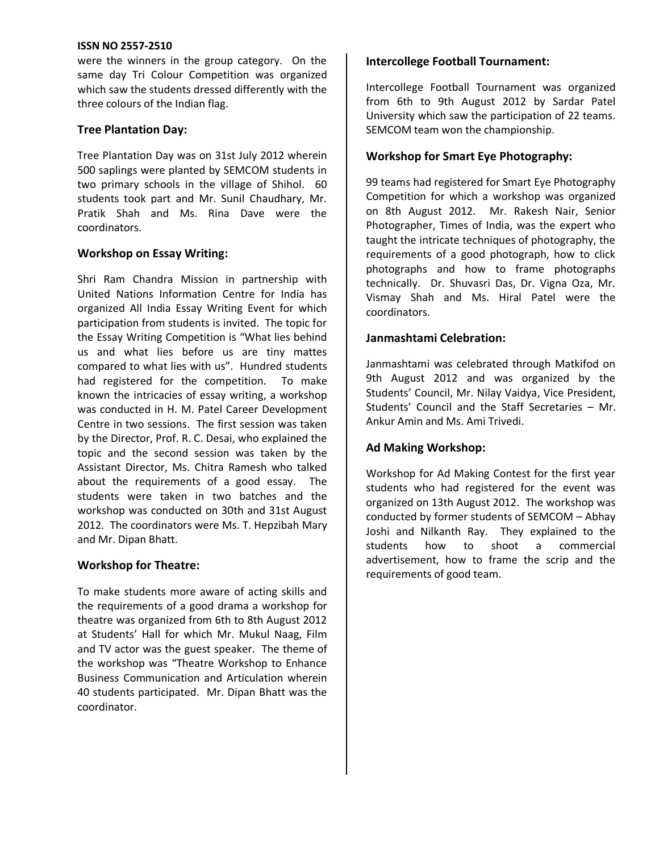were the winners in the group category. On the same day Tri Colour Competition was organized which saw the students dressed differently with the three colours of the Indian flag.

#### **Tree Plantation Day:**

Tree Plantation Day was on 31st July 2012 wherein 500 saplings were planted by SEMCOM students in two primary schools in the village of Shihol. 60 students took part and Mr. Sunil Chaudhary, Mr. Pratik Shah and Ms. Rina Dave were the coordinators.

#### **Workshop on Essay Writing:**

Shri Ram Chandra Mission in partnership with United Nations Information Centre for India has organized All India Essay Writing Event for which participation from students is invited. The topic for the Essay Writing Competition is "What lies behind us and what lies before us are tiny mattes compared to what lies with us". Hundred students had registered for the competition. To make known the intricacies of essay writing, a workshop was conducted in H. M. Patel Career Development Centre in two sessions. The first session was taken by the Director, Prof. R. C. Desai, who explained the topic and the second session was taken by the Assistant Director, Ms. Chitra Ramesh who talked about the requirements of a good essay. The students were taken in two batches and the workshop was conducted on 30th and 31st August 2012. The coordinators were Ms. T. Hepzibah Mary and Mr. Dipan Bhatt.

#### **Workshop for Theatre:**

To make students more aware of acting skills and the requirements of a good drama a workshop for theatre was organized from 6th to 8th August 2012 at Students' Hall for which Mr. Mukul Naag, Film and TV actor was the guest speaker. The theme of the workshop was "Theatre Workshop to Enhance Business Communication and Articulation wherein 40 students participated. Mr. Dipan Bhatt was the coordinator.

#### **Intercollege Football Tournament:**

Intercollege Football Tournament was organized from 6th to 9th August 2012 by Sardar Patel University which saw the participation of 22 teams. SEMCOM team won the championship.

#### **Workshop for Smart Eye Photography:**

99 teams had registered for Smart Eye Photography Competition for which a workshop was organized on 8th August 2012. Mr. Rakesh Nair, Senior Photographer, Times of India, was the expert who taught the intricate techniques of photography, the requirements of a good photograph, how to click photographs and how to frame photographs technically. Dr. Shuvasri Das, Dr. Vigna Oza, Mr. Vismay Shah and Ms. Hiral Patel were the coordinators.

#### **Janmashtami Celebration:**

Janmashtami was celebrated through Matkifod on 9th August 2012 and was organized by the Students' Council, Mr. Nilay Vaidya, Vice President, Students' Council and the Staff Secretaries – Mr. Ankur Amin and Ms. Ami Trivedi.

#### **Ad Making Workshop:**

Workshop for Ad Making Contest for the first year students who had registered for the event was organized on 13th August 2012. The workshop was conducted by former students of SEMCOM – Abhay Joshi and Nilkanth Ray. They explained to the students how to shoot a commercial advertisement, how to frame the scrip and the requirements of good team.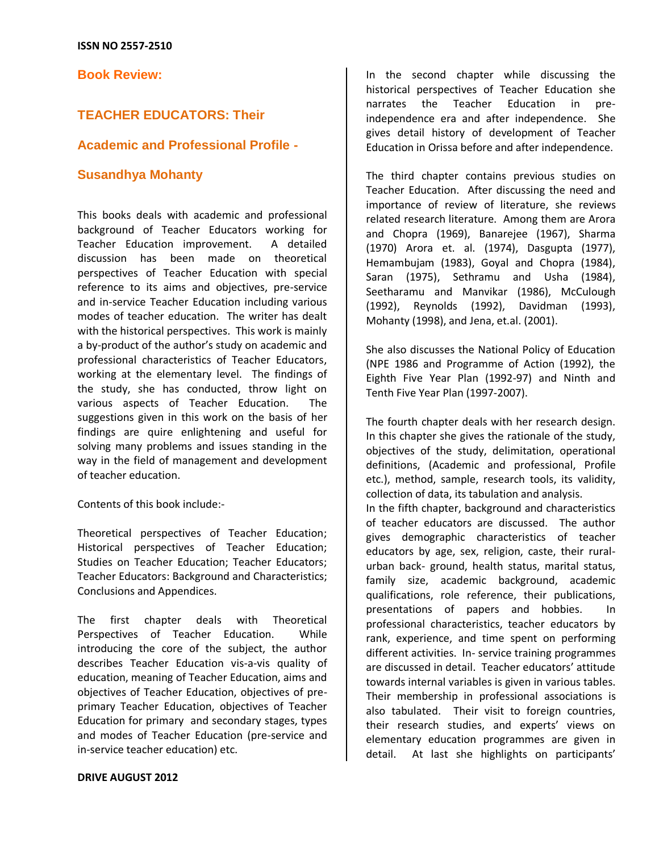**Book Review:**

## **TEACHER EDUCATORS: Their**

#### **Academic and Professional Profile -**

#### **Susandhya Mohanty**

This books deals with academic and professional background of Teacher Educators working for Teacher Education improvement. A detailed discussion has been made on theoretical perspectives of Teacher Education with special reference to its aims and objectives, pre-service and in-service Teacher Education including various modes of teacher education. The writer has dealt with the historical perspectives. This work is mainly a by-product of the author's study on academic and professional characteristics of Teacher Educators, working at the elementary level. The findings of the study, she has conducted, throw light on various aspects of Teacher Education. The suggestions given in this work on the basis of her findings are quire enlightening and useful for solving many problems and issues standing in the way in the field of management and development of teacher education.

#### Contents of this book include:-

Theoretical perspectives of Teacher Education; Historical perspectives of Teacher Education; Studies on Teacher Education; Teacher Educators; Teacher Educators: Background and Characteristics; Conclusions and Appendices.

The first chapter deals with Theoretical Perspectives of Teacher Education. While introducing the core of the subject, the author describes Teacher Education vis-a-vis quality of education, meaning of Teacher Education, aims and objectives of Teacher Education, objectives of preprimary Teacher Education, objectives of Teacher Education for primary and secondary stages, types and modes of Teacher Education (pre-service and in-service teacher education) etc.

#### **DRIVE AUGUST 2012**

In the second chapter while discussing the historical perspectives of Teacher Education she narrates the Teacher Education in preindependence era and after independence. She gives detail history of development of Teacher Education in Orissa before and after independence.

The third chapter contains previous studies on Teacher Education. After discussing the need and importance of review of literature, she reviews related research literature. Among them are Arora and Chopra (1969), Banarejee (1967), Sharma (1970) Arora et. al. (1974), Dasgupta (1977), Hemambujam (1983), Goyal and Chopra (1984), Saran (1975), Sethramu and Usha (1984), Seetharamu and Manvikar (1986), McCulough (1992), Reynolds (1992), Davidman (1993), Mohanty (1998), and Jena, et.al. (2001).

She also discusses the National Policy of Education (NPE 1986 and Programme of Action (1992), the Eighth Five Year Plan (1992-97) and Ninth and Tenth Five Year Plan (1997-2007).

The fourth chapter deals with her research design. In this chapter she gives the rationale of the study, objectives of the study, delimitation, operational definitions, (Academic and professional, Profile etc.), method, sample, research tools, its validity, collection of data, its tabulation and analysis.

In the fifth chapter, background and characteristics of teacher educators are discussed. The author gives demographic characteristics of teacher educators by age, sex, religion, caste, their ruralurban back- ground, health status, marital status, family size, academic background, academic qualifications, role reference, their publications, presentations of papers and hobbies. In professional characteristics, teacher educators by rank, experience, and time spent on performing different activities. In- service training programmes are discussed in detail. Teacher educators' attitude towards internal variables is given in various tables. Their membership in professional associations is also tabulated. Their visit to foreign countries, their research studies, and experts' views on elementary education programmes are given in detail. At last she highlights on participants'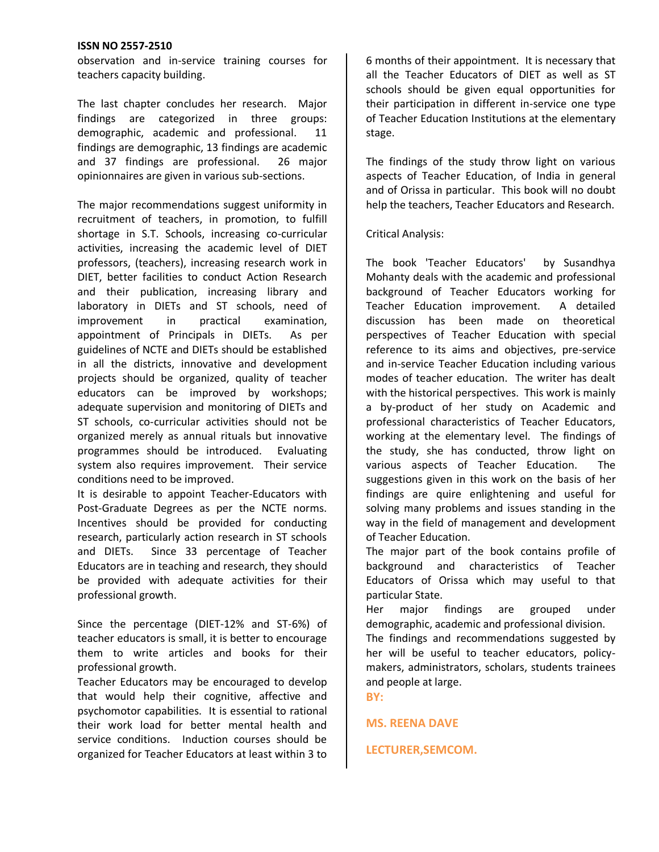observation and in-service training courses for teachers capacity building.

The last chapter concludes her research. Major findings are categorized in three groups: demographic, academic and professional. 11 findings are demographic, 13 findings are academic and 37 findings are professional. 26 major opinionnaires are given in various sub-sections.

The major recommendations suggest uniformity in recruitment of teachers, in promotion, to fulfill shortage in S.T. Schools, increasing co-curricular activities, increasing the academic level of DIET professors, (teachers), increasing research work in DIET, better facilities to conduct Action Research and their publication, increasing library and laboratory in DIETs and ST schools, need of improvement in practical examination, appointment of Principals in DIETs. As per guidelines of NCTE and DIETs should be established in all the districts, innovative and development projects should be organized, quality of teacher educators can be improved by workshops; adequate supervision and monitoring of DIETs and ST schools, co-curricular activities should not be organized merely as annual rituals but innovative programmes should be introduced. Evaluating system also requires improvement. Their service conditions need to be improved.

It is desirable to appoint Teacher-Educators with Post-Graduate Degrees as per the NCTE norms. Incentives should be provided for conducting research, particularly action research in ST schools and DIETs. Since 33 percentage of Teacher Educators are in teaching and research, they should be provided with adequate activities for their professional growth.

Since the percentage (DIET-12% and ST-6%) of teacher educators is small, it is better to encourage them to write articles and books for their professional growth.

Teacher Educators may be encouraged to develop that would help their cognitive, affective and psychomotor capabilities. It is essential to rational their work load for better mental health and service conditions. Induction courses should be organized for Teacher Educators at least within 3 to 6 months of their appointment. It is necessary that all the Teacher Educators of DIET as well as ST schools should be given equal opportunities for their participation in different in-service one type of Teacher Education Institutions at the elementary stage.

The findings of the study throw light on various aspects of Teacher Education, of India in general and of Orissa in particular. This book will no doubt help the teachers, Teacher Educators and Research.

#### Critical Analysis:

The book 'Teacher Educators' by Susandhya Mohanty deals with the academic and professional background of Teacher Educators working for Teacher Education improvement. A detailed discussion has been made on theoretical perspectives of Teacher Education with special reference to its aims and objectives, pre-service and in-service Teacher Education including various modes of teacher education. The writer has dealt with the historical perspectives. This work is mainly a by-product of her study on Academic and professional characteristics of Teacher Educators, working at the elementary level. The findings of the study, she has conducted, throw light on various aspects of Teacher Education. The suggestions given in this work on the basis of her findings are quire enlightening and useful for solving many problems and issues standing in the way in the field of management and development of Teacher Education.

The major part of the book contains profile of background and characteristics of Teacher Educators of Orissa which may useful to that particular State.

Her major findings are grouped under demographic, academic and professional division.

The findings and recommendations suggested by her will be useful to teacher educators, policymakers, administrators, scholars, students trainees and people at large.

**BY:**

**MS. REENA DAVE**

#### **LECTURER,SEMCOM.**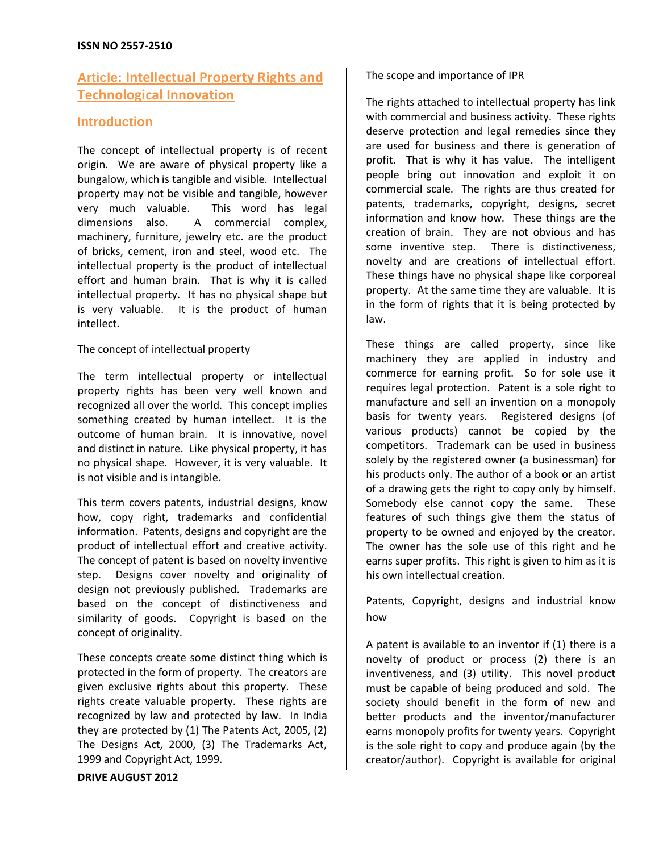## **Article: Intellectual Property Rights and Technological Innovation**

## **Introduction**

The concept of intellectual property is of recent origin. We are aware of physical property like a bungalow, which is tangible and visible. Intellectual property may not be visible and tangible, however very much valuable. This word has legal dimensions also. A commercial complex, machinery, furniture, jewelry etc. are the product of bricks, cement, iron and steel, wood etc. The intellectual property is the product of intellectual effort and human brain. That is why it is called intellectual property. It has no physical shape but is very valuable. It is the product of human intellect.

#### The concept of intellectual property

The term intellectual property or intellectual property rights has been very well known and recognized all over the world. This concept implies something created by human intellect. It is the outcome of human brain. It is innovative, novel and distinct in nature. Like physical property, it has no physical shape. However, it is very valuable. It is not visible and is intangible.

This term covers patents, industrial designs, know how, copy right, trademarks and confidential information. Patents, designs and copyright are the product of intellectual effort and creative activity. The concept of patent is based on novelty inventive step. Designs cover novelty and originality of design not previously published. Trademarks are based on the concept of distinctiveness and similarity of goods. Copyright is based on the concept of originality.

These concepts create some distinct thing which is protected in the form of property. The creators are given exclusive rights about this property. These rights create valuable property. These rights are recognized by law and protected by law. In India they are protected by (1) The Patents Act, 2005, (2) The Designs Act, 2000, (3) The Trademarks Act, 1999 and Copyright Act, 1999.

#### **DRIVE AUGUST 2012**

The scope and importance of IPR

The rights attached to intellectual property has link with commercial and business activity. These rights deserve protection and legal remedies since they are used for business and there is generation of profit. That is why it has value. The intelligent people bring out innovation and exploit it on commercial scale. The rights are thus created for patents, trademarks, copyright, designs, secret information and know how. These things are the creation of brain. They are not obvious and has some inventive step. There is distinctiveness, novelty and are creations of intellectual effort. These things have no physical shape like corporeal property. At the same time they are valuable. It is in the form of rights that it is being protected by law.

These things are called property, since like machinery they are applied in industry and commerce for earning profit. So for sole use it requires legal protection. Patent is a sole right to manufacture and sell an invention on a monopoly basis for twenty years. Registered designs (of various products) cannot be copied by the competitors. Trademark can be used in business solely by the registered owner (a businessman) for his products only. The author of a book or an artist of a drawing gets the right to copy only by himself. Somebody else cannot copy the same. These features of such things give them the status of property to be owned and enjoyed by the creator. The owner has the sole use of this right and he earns super profits. This right is given to him as it is his own intellectual creation.

Patents, Copyright, designs and industrial know how

A patent is available to an inventor if (1) there is a novelty of product or process (2) there is an inventiveness, and (3) utility. This novel product must be capable of being produced and sold. The society should benefit in the form of new and better products and the inventor/manufacturer earns monopoly profits for twenty years. Copyright is the sole right to copy and produce again (by the creator/author). Copyright is available for original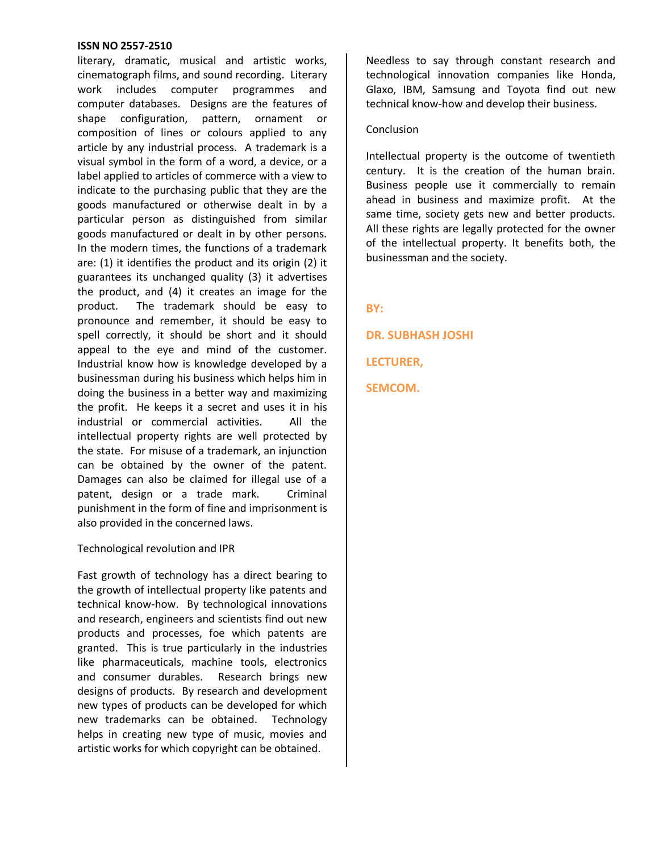literary, dramatic, musical and artistic works, cinematograph films, and sound recording. Literary work includes computer programmes and computer databases. Designs are the features of shape configuration, pattern, ornament or composition of lines or colours applied to any article by any industrial process. A trademark is a visual symbol in the form of a word, a device, or a label applied to articles of commerce with a view to indicate to the purchasing public that they are the goods manufactured or otherwise dealt in by a particular person as distinguished from similar goods manufactured or dealt in by other persons. In the modern times, the functions of a trademark are: (1) it identifies the product and its origin (2) it guarantees its unchanged quality (3) it advertises the product, and (4) it creates an image for the product. The trademark should be easy to pronounce and remember, it should be easy to spell correctly, it should be short and it should appeal to the eye and mind of the customer. Industrial know how is knowledge developed by a businessman during his business which helps him in doing the business in a better way and maximizing the profit. He keeps it a secret and uses it in his industrial or commercial activities. All the intellectual property rights are well protected by the state. For misuse of a trademark, an injunction can be obtained by the owner of the patent. Damages can also be claimed for illegal use of a patent, design or a trade mark. Criminal punishment in the form of fine and imprisonment is also provided in the concerned laws.

#### Technological revolution and IPR

Fast growth of technology has a direct bearing to the growth of intellectual property like patents and technical know-how. By technological innovations and research, engineers and scientists find out new products and processes, foe which patents are granted. This is true particularly in the industries like pharmaceuticals, machine tools, electronics and consumer durables. Research brings new designs of products. By research and development new types of products can be developed for which new trademarks can be obtained. Technology helps in creating new type of music, movies and artistic works for which copyright can be obtained.

Needless to say through constant research and technological innovation companies like Honda, Glaxo, IBM, Samsung and Toyota find out new technical know-how and develop their business.

#### Conclusion

Intellectual property is the outcome of twentieth century. It is the creation of the human brain. Business people use it commercially to remain ahead in business and maximize profit. At the same time, society gets new and better products. All these rights are legally protected for the owner of the intellectual property. It benefits both, the businessman and the society.

**BY:**

**DR. SUBHASH JOSHI LECTURER, SEMCOM.**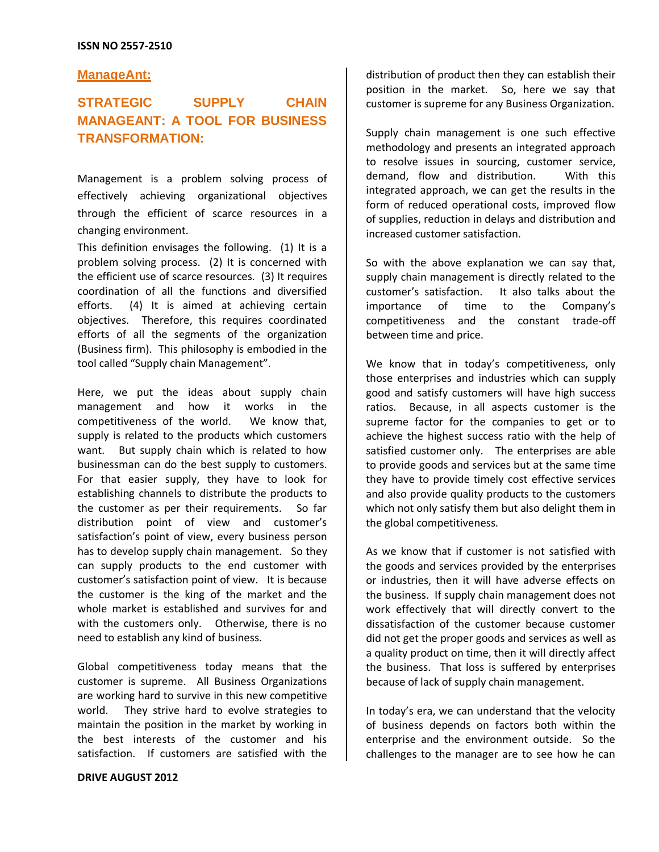#### **ManageAnt:**

## **STRATEGIC SUPPLY CHAIN MANAGEANT: A TOOL FOR BUSINESS TRANSFORMATION:**

Management is a problem solving process of effectively achieving organizational objectives through the efficient of scarce resources in a changing environment.

This definition envisages the following. (1) It is a problem solving process. (2) It is concerned with the efficient use of scarce resources. (3) It requires coordination of all the functions and diversified efforts. (4) It is aimed at achieving certain objectives. Therefore, this requires coordinated efforts of all the segments of the organization (Business firm). This philosophy is embodied in the tool called "Supply chain Management".

Here, we put the ideas about supply chain management and how it works in the competitiveness of the world. We know that, supply is related to the products which customers want. But supply chain which is related to how businessman can do the best supply to customers. For that easier supply, they have to look for establishing channels to distribute the products to the customer as per their requirements. So far distribution point of view and customer's satisfaction's point of view, every business person has to develop supply chain management. So they can supply products to the end customer with customer's satisfaction point of view. It is because the customer is the king of the market and the whole market is established and survives for and with the customers only. Otherwise, there is no need to establish any kind of business.

Global competitiveness today means that the customer is supreme. All Business Organizations are working hard to survive in this new competitive world. They strive hard to evolve strategies to maintain the position in the market by working in the best interests of the customer and his satisfaction. If customers are satisfied with the

**DRIVE AUGUST 2012**

distribution of product then they can establish their position in the market. So, here we say that customer is supreme for any Business Organization.

Supply chain management is one such effective methodology and presents an integrated approach to resolve issues in sourcing, customer service, demand, flow and distribution. With this integrated approach, we can get the results in the form of reduced operational costs, improved flow of supplies, reduction in delays and distribution and increased customer satisfaction.

So with the above explanation we can say that, supply chain management is directly related to the customer's satisfaction. It also talks about the importance of time to the Company's competitiveness and the constant trade-off between time and price.

We know that in today's competitiveness, only those enterprises and industries which can supply good and satisfy customers will have high success ratios. Because, in all aspects customer is the supreme factor for the companies to get or to achieve the highest success ratio with the help of satisfied customer only. The enterprises are able to provide goods and services but at the same time they have to provide timely cost effective services and also provide quality products to the customers which not only satisfy them but also delight them in the global competitiveness.

As we know that if customer is not satisfied with the goods and services provided by the enterprises or industries, then it will have adverse effects on the business. If supply chain management does not work effectively that will directly convert to the dissatisfaction of the customer because customer did not get the proper goods and services as well as a quality product on time, then it will directly affect the business. That loss is suffered by enterprises because of lack of supply chain management.

In today's era, we can understand that the velocity of business depends on factors both within the enterprise and the environment outside. So the challenges to the manager are to see how he can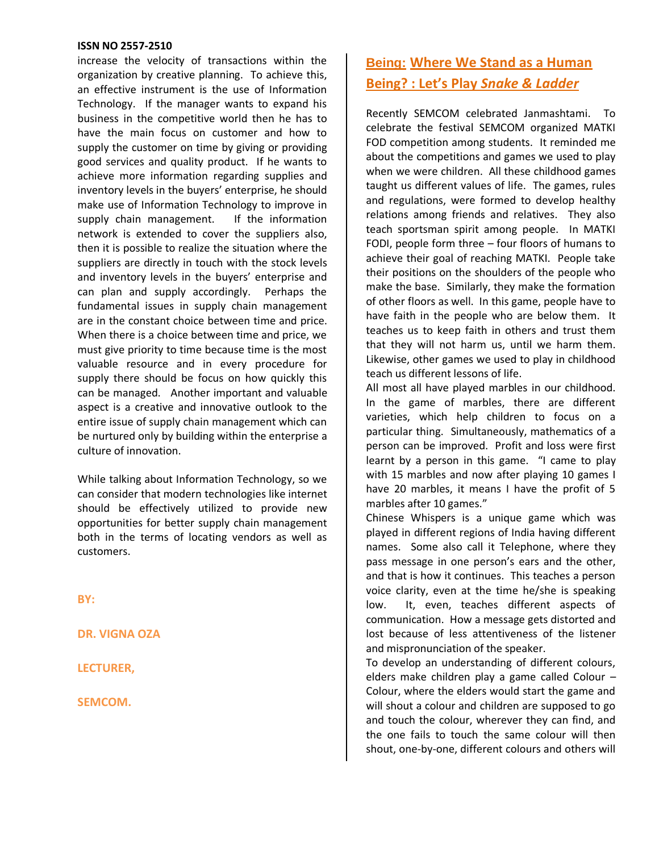increase the velocity of transactions within the organization by creative planning. To achieve this, an effective instrument is the use of Information Technology. If the manager wants to expand his business in the competitive world then he has to have the main focus on customer and how to supply the customer on time by giving or providing good services and quality product. If he wants to achieve more information regarding supplies and inventory levels in the buyers' enterprise, he should make use of Information Technology to improve in supply chain management. If the information network is extended to cover the suppliers also, then it is possible to realize the situation where the suppliers are directly in touch with the stock levels and inventory levels in the buyers' enterprise and can plan and supply accordingly. Perhaps the fundamental issues in supply chain management are in the constant choice between time and price. When there is a choice between time and price, we must give priority to time because time is the most valuable resource and in every procedure for supply there should be focus on how quickly this can be managed. Another important and valuable aspect is a creative and innovative outlook to the entire issue of supply chain management which can be nurtured only by building within the enterprise a culture of innovation.

While talking about Information Technology, so we can consider that modern technologies like internet should be effectively utilized to provide new opportunities for better supply chain management both in the terms of locating vendors as well as customers.

**BY:**

**DR. VIGNA OZA**

**LECTURER,**

**SEMCOM.**

## **Being: Where We Stand as a Human Being? : Let's Play** *Snake & Ladder*

Recently SEMCOM celebrated Janmashtami. To celebrate the festival SEMCOM organized MATKI FOD competition among students. It reminded me about the competitions and games we used to play when we were children. All these childhood games taught us different values of life. The games, rules and regulations, were formed to develop healthy relations among friends and relatives. They also teach sportsman spirit among people. In MATKI FODI, people form three – four floors of humans to achieve their goal of reaching MATKI. People take their positions on the shoulders of the people who make the base. Similarly, they make the formation of other floors as well. In this game, people have to have faith in the people who are below them. It teaches us to keep faith in others and trust them that they will not harm us, until we harm them. Likewise, other games we used to play in childhood teach us different lessons of life.

All most all have played marbles in our childhood. In the game of marbles, there are different varieties, which help children to focus on a particular thing. Simultaneously, mathematics of a person can be improved. Profit and loss were first learnt by a person in this game. "I came to play with 15 marbles and now after playing 10 games I have 20 marbles, it means I have the profit of 5 marbles after 10 games."

Chinese Whispers is a unique game which was played in different regions of India having different names. Some also call it Telephone, where they pass message in one person's ears and the other, and that is how it continues. This teaches a person voice clarity, even at the time he/she is speaking low. It, even, teaches different aspects of communication. How a message gets distorted and lost because of less attentiveness of the listener and mispronunciation of the speaker.

To develop an understanding of different colours, elders make children play a game called Colour – Colour, where the elders would start the game and will shout a colour and children are supposed to go and touch the colour, wherever they can find, and the one fails to touch the same colour will then shout, one-by-one, different colours and others will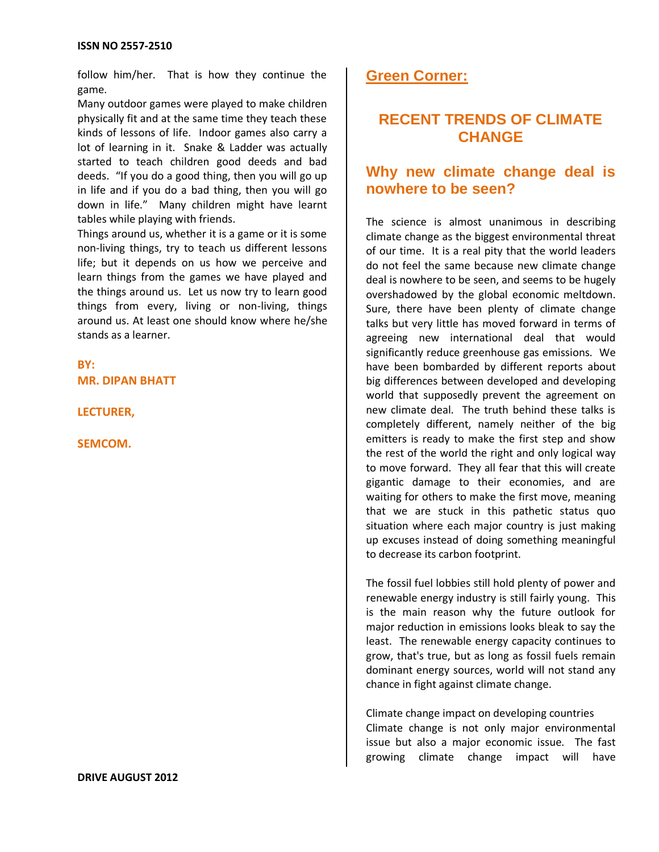follow him/her. That is how they continue the game.

Many outdoor games were played to make children physically fit and at the same time they teach these kinds of lessons of life. Indoor games also carry a lot of learning in it. Snake & Ladder was actually started to teach children good deeds and bad deeds. "If you do a good thing, then you will go up in life and if you do a bad thing, then you will go down in life." Many children might have learnt tables while playing with friends.

Things around us, whether it is a game or it is some non-living things, try to teach us different lessons life; but it depends on us how we perceive and learn things from the games we have played and the things around us. Let us now try to learn good things from every, living or non-living, things around us. At least one should know where he/she stands as a learner.

**BY: MR. DIPAN BHATT**

**LECTURER,**

**SEMCOM.**

## **Green Corner:**

## **RECENT TRENDS OF CLIMATE CHANGE**

## **Why new climate change deal is nowhere to be seen?**

The science is almost unanimous in describing climate change as the biggest environmental threat of our time. It is a real pity that the world leaders do not feel the same because new climate change deal is nowhere to be seen, and seems to be hugely overshadowed by the global economic meltdown. Sure, there have been plenty of climate change talks but very little has moved forward in terms of agreeing new international deal that would significantly reduce greenhouse gas emissions. We have been bombarded by different reports about big differences between developed and developing world that supposedly prevent the agreement on new climate deal. The truth behind these talks is completely different, namely neither of the big emitters is ready to make the first step and show the rest of the world the right and only logical way to move forward. They all fear that this will create gigantic damage to their economies, and are waiting for others to make the first move, meaning that we are stuck in this pathetic status quo situation where each major country is just making up excuses instead of doing something meaningful to decrease its carbon footprint.

The fossil fuel lobbies still hold plenty of power and renewable energy industry is still fairly young. This is the main reason why the future outlook for major reduction in emissions looks bleak to say the least. The renewable energy capacity continues to grow, that's true, but as long as fossil fuels remain dominant energy sources, world will not stand any chance in fight against climate change.

Climate change impact on developing countries Climate change is not only major environmental issue but also a major economic issue. The fast growing climate change impact will have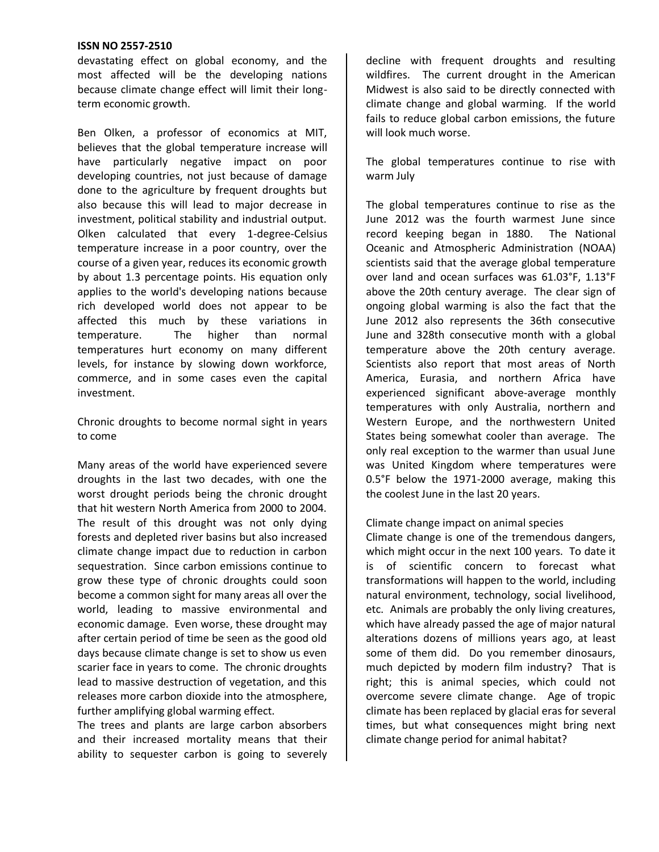devastating effect on global economy, and the most affected will be the developing nations because climate change effect will limit their longterm economic growth.

Ben Olken, a professor of economics at MIT, believes that the global temperature increase will have particularly negative impact on poor developing countries, not just because of damage done to the agriculture by frequent droughts but also because this will lead to major decrease in investment, political stability and industrial output. Olken calculated that every 1-degree-Celsius temperature increase in a poor country, over the course of a given year, reduces its economic growth by about 1.3 percentage points. His equation only applies to the world's developing nations because rich developed world does not appear to be affected this much by these variations in temperature. The higher than normal temperatures hurt economy on many different levels, for instance by slowing down workforce, commerce, and in some cases even the capital investment.

Chronic droughts to become normal sight in years to come

Many areas of the world have experienced severe droughts in the last two decades, with one the worst drought periods being the chronic drought that hit western North America from 2000 to 2004. The result of this drought was not only dying forests and depleted river basins but also increased climate change impact due to reduction in carbon sequestration. Since carbon emissions continue to grow these type of chronic droughts could soon become a common sight for many areas all over the world, leading to massive environmental and economic damage. Even worse, these drought may after certain period of time be seen as the good old days because climate change is set to show us even scarier face in years to come. The chronic droughts lead to massive destruction of vegetation, and this releases more carbon dioxide into the atmosphere, further amplifying global warming effect.

The trees and plants are large carbon absorbers and their increased mortality means that their ability to sequester carbon is going to severely decline with frequent droughts and resulting wildfires. The current drought in the American Midwest is also said to be directly connected with climate change and global warming. If the world fails to reduce global carbon emissions, the future will look much worse.

The global temperatures continue to rise with warm July

The global temperatures continue to rise as the June 2012 was the fourth warmest June since record keeping began in 1880. The National Oceanic and Atmospheric Administration (NOAA) scientists said that the average global temperature over land and ocean surfaces was 61.03°F, 1.13°F above the 20th century average. The clear sign of ongoing global warming is also the fact that the June 2012 also represents the 36th consecutive June and 328th consecutive month with a global temperature above the 20th century average. Scientists also report that most areas of North America, Eurasia, and northern Africa have experienced significant above-average monthly temperatures with only Australia, northern and Western Europe, and the northwestern United States being somewhat cooler than average. The only real exception to the warmer than usual June was United Kingdom where temperatures were 0.5°F below the 1971-2000 average, making this the coolest June in the last 20 years.

#### Climate change impact on animal species

Climate change is one of the tremendous dangers, which might occur in the next 100 years. To date it is of scientific concern to forecast what transformations will happen to the world, including natural environment, technology, social livelihood, etc. Animals are probably the only living creatures, which have already passed the age of major natural alterations dozens of millions years ago, at least some of them did. Do you remember dinosaurs, much depicted by modern film industry? That is right; this is animal species, which could not overcome severe climate change. Age of tropic climate has been replaced by glacial eras for several times, but what consequences might bring next climate change period for animal habitat?